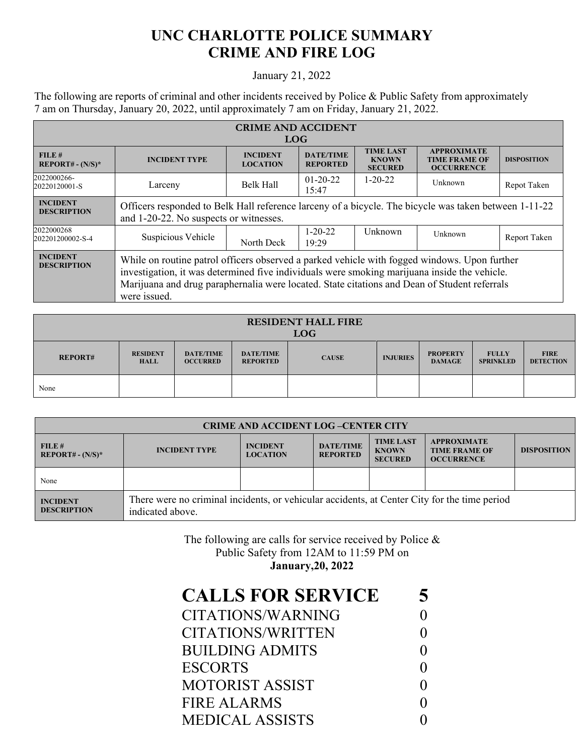## **UNC CHARLOTTE POLICE SUMMARY CRIME AND FIRE LOG**

## January 21, 2022

The following are reports of criminal and other incidents received by Police & Public Safety from approximately 7 am on Thursday, January 20, 2022, until approximately 7 am on Friday, January 21, 2022.

| <b>CRIME AND ACCIDENT</b>             |                                                                                                                                                                                                                                                                                                              |                                    |                                     |                                                    |                                                                 |                    |  |
|---------------------------------------|--------------------------------------------------------------------------------------------------------------------------------------------------------------------------------------------------------------------------------------------------------------------------------------------------------------|------------------------------------|-------------------------------------|----------------------------------------------------|-----------------------------------------------------------------|--------------------|--|
| <b>LOG</b>                            |                                                                                                                                                                                                                                                                                                              |                                    |                                     |                                                    |                                                                 |                    |  |
| FILE#<br>$REPORT# - (N/S)*$           | <b>INCIDENT TYPE</b>                                                                                                                                                                                                                                                                                         | <b>INCIDENT</b><br><b>LOCATION</b> | <b>DATE/TIME</b><br><b>REPORTED</b> | <b>TIME LAST</b><br><b>KNOWN</b><br><b>SECURED</b> | <b>APPROXIMATE</b><br><b>TIME FRAME OF</b><br><b>OCCURRENCE</b> | <b>DISPOSITION</b> |  |
| 2022000266-<br>20220120001-S          | Larceny                                                                                                                                                                                                                                                                                                      | Belk Hall                          | $01-20-22$<br>15:47                 | $1 - 20 - 22$                                      | Unknown                                                         | Repot Taken        |  |
| <b>INCIDENT</b><br><b>DESCRIPTION</b> | Officers responded to Belk Hall reference larceny of a bicycle. The bicycle was taken between 1-11-22<br>and 1-20-22. No suspects or witnesses.                                                                                                                                                              |                                    |                                     |                                                    |                                                                 |                    |  |
| 2022000268<br>202201200002-S-4        | Suspicious Vehicle                                                                                                                                                                                                                                                                                           | North Deck                         | $1 - 20 - 22$<br>19:29              | Unknown                                            | Unknown                                                         | Report Taken       |  |
| <b>INCIDENT</b><br><b>DESCRIPTION</b> | While on routine patrol officers observed a parked vehicle with fogged windows. Upon further<br>investigation, it was determined five individuals were smoking marijuana inside the vehicle.<br>Marijuana and drug paraphernalia were located. State citations and Dean of Student referrals<br>were issued. |                                    |                                     |                                                    |                                                                 |                    |  |

| <b>RESIDENT HALL FIRE</b><br><b>LOG</b> |                                |                                     |                                     |              |                 |                                  |                                  |                                 |
|-----------------------------------------|--------------------------------|-------------------------------------|-------------------------------------|--------------|-----------------|----------------------------------|----------------------------------|---------------------------------|
| <b>REPORT#</b>                          | <b>RESIDENT</b><br><b>HALL</b> | <b>DATE/TIME</b><br><b>OCCURRED</b> | <b>DATE/TIME</b><br><b>REPORTED</b> | <b>CAUSE</b> | <b>INJURIES</b> | <b>PROPERTY</b><br><b>DAMAGE</b> | <b>FULLY</b><br><b>SPRINKLED</b> | <b>FIRE</b><br><b>DETECTION</b> |
| None                                    |                                |                                     |                                     |              |                 |                                  |                                  |                                 |

| <b>CRIME AND ACCIDENT LOG-CENTER CITY</b> |                                                                                                                  |                                    |                                     |                                                    |                                                                 |                    |  |
|-------------------------------------------|------------------------------------------------------------------------------------------------------------------|------------------------------------|-------------------------------------|----------------------------------------------------|-----------------------------------------------------------------|--------------------|--|
| FILE#<br>$REPORT# - (N/S)*$               | <b>INCIDENT TYPE</b>                                                                                             | <b>INCIDENT</b><br><b>LOCATION</b> | <b>DATE/TIME</b><br><b>REPORTED</b> | <b>TIME LAST</b><br><b>KNOWN</b><br><b>SECURED</b> | <b>APPROXIMATE</b><br><b>TIME FRAME OF</b><br><b>OCCURRENCE</b> | <b>DISPOSITION</b> |  |
| None                                      |                                                                                                                  |                                    |                                     |                                                    |                                                                 |                    |  |
| <b>INCIDENT</b><br><b>DESCRIPTION</b>     | There were no criminal incidents, or vehicular accidents, at Center City for the time period<br>indicated above. |                                    |                                     |                                                    |                                                                 |                    |  |

The following are calls for service received by Police & Public Safety from 12AM to 11:59 PM on **January,20, 2022** 

| <b>CALLS FOR SERVICE</b> | 5 |
|--------------------------|---|
| CITATIONS/WARNING        |   |
| CITATIONS/WRITTEN        |   |
| <b>BUILDING ADMITS</b>   |   |
| <b>ESCORTS</b>           |   |
| <b>MOTORIST ASSIST</b>   |   |
| FIRE ALARMS              |   |
| <b>MEDICAL ASSISTS</b>   |   |
|                          |   |